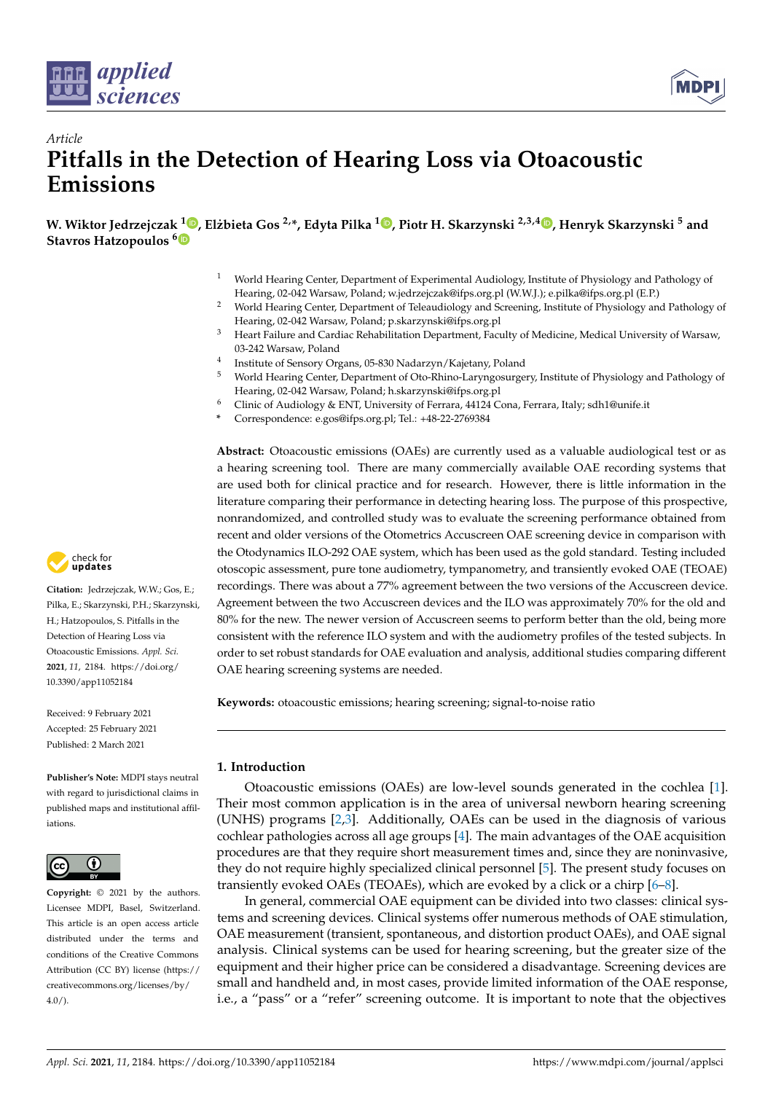



# *Article* **Pitfalls in the Detection of Hearing Loss via Otoacoustic Emissions**

**W. Wiktor Jedrzejczak <sup>1</sup> [,](https://orcid.org/0000-0001-8404-0672) Elzbieta Gos ˙ 2,\*, Edyta Pilka <sup>1</sup> [,](https://orcid.org/0000-0002-7860-6008) Piotr H. Skarzynski 2,3,4 [,](https://orcid.org/0000-0002-4978-1915) Henryk Skarzynski <sup>5</sup> and Stavros Hatzopoulos [6](https://orcid.org/0000-0002-9509-9722)**

- <sup>1</sup> World Hearing Center, Department of Experimental Audiology, Institute of Physiology and Pathology of Hearing, 02-042 Warsaw, Poland; w.jedrzejczak@ifps.org.pl (W.W.J.); e.pilka@ifps.org.pl (E.P.)
- <sup>2</sup> World Hearing Center, Department of Teleaudiology and Screening, Institute of Physiology and Pathology of Hearing, 02-042 Warsaw, Poland; p.skarzynski@ifps.org.pl
- <sup>3</sup> Heart Failure and Cardiac Rehabilitation Department, Faculty of Medicine, Medical University of Warsaw, 03-242 Warsaw, Poland
- 4 Institute of Sensory Organs, 05-830 Nadarzyn/Kajetany, Poland
- <sup>5</sup> World Hearing Center, Department of Oto-Rhino-Laryngosurgery, Institute of Physiology and Pathology of Hearing, 02-042 Warsaw, Poland; h.skarzynski@ifps.org.pl
- <sup>6</sup> Clinic of Audiology & ENT, University of Ferrara, 44124 Cona, Ferrara, Italy; sdh1@unife.it
- **\*** Correspondence: e.gos@ifps.org.pl; Tel.: +48-22-2769384

**Abstract:** Otoacoustic emissions (OAEs) are currently used as a valuable audiological test or as a hearing screening tool. There are many commercially available OAE recording systems that are used both for clinical practice and for research. However, there is little information in the literature comparing their performance in detecting hearing loss. The purpose of this prospective, nonrandomized, and controlled study was to evaluate the screening performance obtained from recent and older versions of the Otometrics Accuscreen OAE screening device in comparison with the Otodynamics ILO-292 OAE system, which has been used as the gold standard. Testing included otoscopic assessment, pure tone audiometry, tympanometry, and transiently evoked OAE (TEOAE) recordings. There was about a 77% agreement between the two versions of the Accuscreen device. Agreement between the two Accuscreen devices and the ILO was approximately 70% for the old and 80% for the new. The newer version of Accuscreen seems to perform better than the old, being more consistent with the reference ILO system and with the audiometry profiles of the tested subjects. In order to set robust standards for OAE evaluation and analysis, additional studies comparing different OAE hearing screening systems are needed.

**Keywords:** otoacoustic emissions; hearing screening; signal-to-noise ratio

## **1. Introduction**

Otoacoustic emissions (OAEs) are low-level sounds generated in the cochlea [\[1\]](#page-10-0). Their most common application is in the area of universal newborn hearing screening (UNHS) programs [\[2](#page-10-1)[,3\]](#page-10-2). Additionally, OAEs can be used in the diagnosis of various cochlear pathologies across all age groups [\[4\]](#page-10-3). The main advantages of the OAE acquisition procedures are that they require short measurement times and, since they are noninvasive, they do not require highly specialized clinical personnel [\[5\]](#page-10-4). The present study focuses on transiently evoked OAEs (TEOAEs), which are evoked by a click or a chirp [\[6](#page-10-5)[–8\]](#page-10-6).

In general, commercial OAE equipment can be divided into two classes: clinical systems and screening devices. Clinical systems offer numerous methods of OAE stimulation, OAE measurement (transient, spontaneous, and distortion product OAEs), and OAE signal analysis. Clinical systems can be used for hearing screening, but the greater size of the equipment and their higher price can be considered a disadvantage. Screening devices are small and handheld and, in most cases, provide limited information of the OAE response, i.e., a "pass" or a "refer" screening outcome. It is important to note that the objectives



**Citation:** Jedrzejczak, W.W.; Gos, E.; Pilka, E.; Skarzynski, P.H.; Skarzynski, H.; Hatzopoulos, S. Pitfalls in the Detection of Hearing Loss via Otoacoustic Emissions. *Appl. Sci.* **2021**, *11*, 2184. [https://doi.org/](https://doi.org/10.3390/app11052184) [10.3390/app11052184](https://doi.org/10.3390/app11052184)

Received: 9 February 2021 Accepted: 25 February 2021 Published: 2 March 2021

**Publisher's Note:** MDPI stays neutral with regard to jurisdictional claims in published maps and institutional affiliations.



**Copyright:** © 2021 by the authors. Licensee MDPI, Basel, Switzerland. This article is an open access article distributed under the terms and conditions of the Creative Commons Attribution (CC BY) license (https:/[/](https://creativecommons.org/licenses/by/4.0/) [creativecommons.org/licenses/by/](https://creativecommons.org/licenses/by/4.0/)  $4.0/$ ).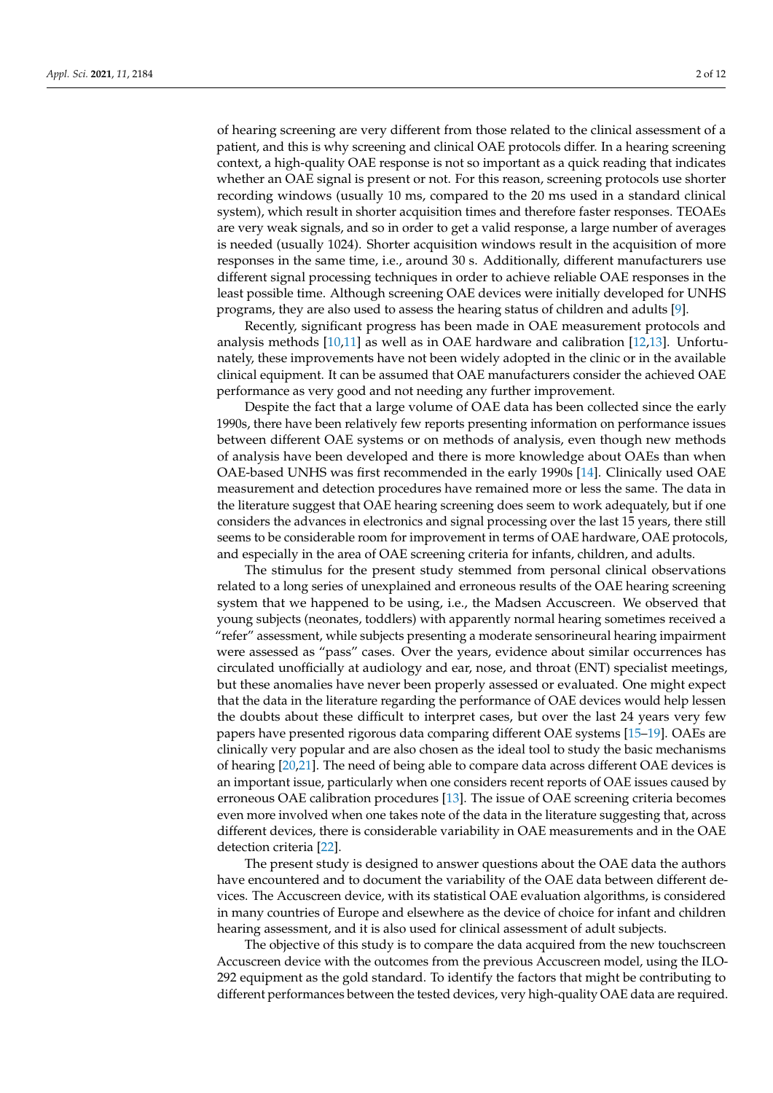of hearing screening are very different from those related to the clinical assessment of a patient, and this is why screening and clinical OAE protocols differ. In a hearing screening context, a high-quality OAE response is not so important as a quick reading that indicates whether an OAE signal is present or not. For this reason, screening protocols use shorter recording windows (usually 10 ms, compared to the 20 ms used in a standard clinical system), which result in shorter acquisition times and therefore faster responses. TEOAEs are very weak signals, and so in order to get a valid response, a large number of averages is needed (usually 1024). Shorter acquisition windows result in the acquisition of more responses in the same time, i.e., around 30 s. Additionally, different manufacturers use different signal processing techniques in order to achieve reliable OAE responses in the least possible time. Although screening OAE devices were initially developed for UNHS programs, they are also used to assess the hearing status of children and adults [\[9\]](#page-10-7).

Recently, significant progress has been made in OAE measurement protocols and analysis methods [\[10](#page-10-8)[,11\]](#page-10-9) as well as in OAE hardware and calibration [\[12](#page-10-10)[,13\]](#page-10-11). Unfortunately, these improvements have not been widely adopted in the clinic or in the available clinical equipment. It can be assumed that OAE manufacturers consider the achieved OAE performance as very good and not needing any further improvement.

Despite the fact that a large volume of OAE data has been collected since the early 1990s, there have been relatively few reports presenting information on performance issues between different OAE systems or on methods of analysis, even though new methods of analysis have been developed and there is more knowledge about OAEs than when OAE-based UNHS was first recommended in the early 1990s [\[14\]](#page-10-12). Clinically used OAE measurement and detection procedures have remained more or less the same. The data in the literature suggest that OAE hearing screening does seem to work adequately, but if one considers the advances in electronics and signal processing over the last 15 years, there still seems to be considerable room for improvement in terms of OAE hardware, OAE protocols, and especially in the area of OAE screening criteria for infants, children, and adults.

The stimulus for the present study stemmed from personal clinical observations related to a long series of unexplained and erroneous results of the OAE hearing screening system that we happened to be using, i.e., the Madsen Accuscreen. We observed that young subjects (neonates, toddlers) with apparently normal hearing sometimes received a "refer" assessment, while subjects presenting a moderate sensorineural hearing impairment were assessed as "pass" cases. Over the years, evidence about similar occurrences has circulated unofficially at audiology and ear, nose, and throat (ENT) specialist meetings, but these anomalies have never been properly assessed or evaluated. One might expect that the data in the literature regarding the performance of OAE devices would help lessen the doubts about these difficult to interpret cases, but over the last 24 years very few papers have presented rigorous data comparing different OAE systems [\[15–](#page-10-13)[19\]](#page-11-0). OAEs are clinically very popular and are also chosen as the ideal tool to study the basic mechanisms of hearing [\[20,](#page-11-1)[21\]](#page-11-2). The need of being able to compare data across different OAE devices is an important issue, particularly when one considers recent reports of OAE issues caused by erroneous OAE calibration procedures [\[13\]](#page-10-11). The issue of OAE screening criteria becomes even more involved when one takes note of the data in the literature suggesting that, across different devices, there is considerable variability in OAE measurements and in the OAE detection criteria [\[22\]](#page-11-3).

The present study is designed to answer questions about the OAE data the authors have encountered and to document the variability of the OAE data between different devices. The Accuscreen device, with its statistical OAE evaluation algorithms, is considered in many countries of Europe and elsewhere as the device of choice for infant and children hearing assessment, and it is also used for clinical assessment of adult subjects.

The objective of this study is to compare the data acquired from the new touchscreen Accuscreen device with the outcomes from the previous Accuscreen model, using the ILO-292 equipment as the gold standard. To identify the factors that might be contributing to different performances between the tested devices, very high-quality OAE data are required.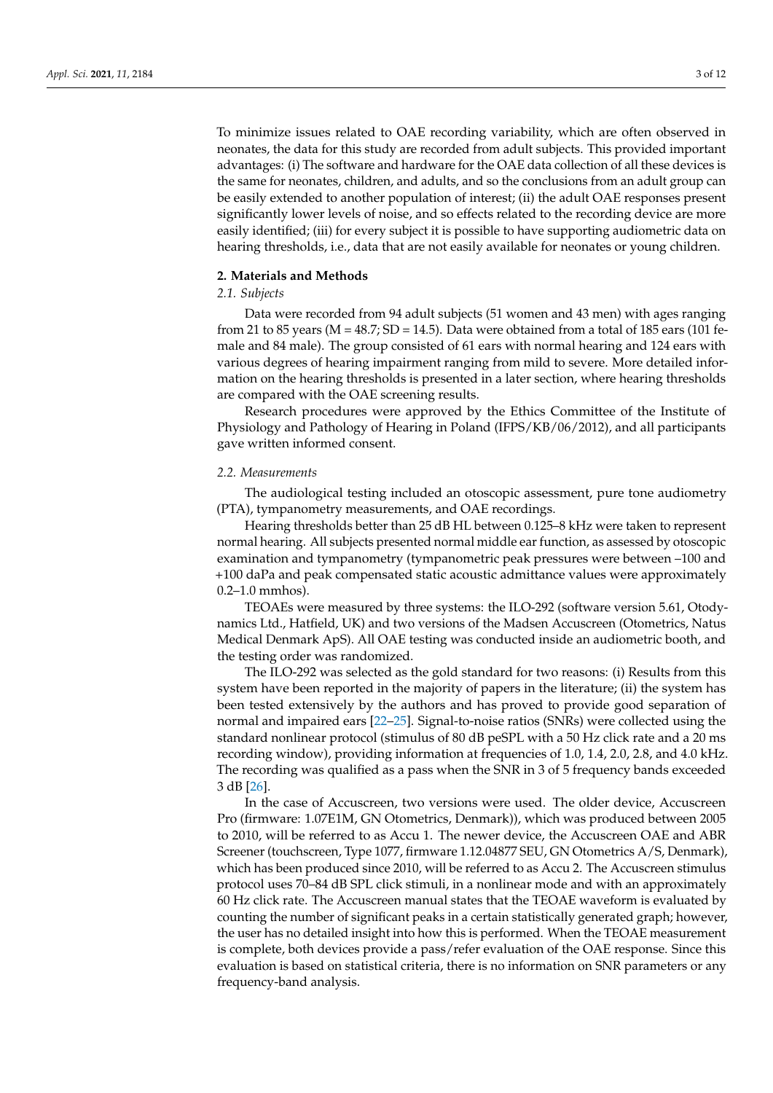To minimize issues related to OAE recording variability, which are often observed in neonates, the data for this study are recorded from adult subjects. This provided important advantages: (i) The software and hardware for the OAE data collection of all these devices is the same for neonates, children, and adults, and so the conclusions from an adult group can be easily extended to another population of interest; (ii) the adult OAE responses present significantly lower levels of noise, and so effects related to the recording device are more easily identified; (iii) for every subject it is possible to have supporting audiometric data on hearing thresholds, i.e., data that are not easily available for neonates or young children.

# **2. Materials and Methods**

# *2.1. Subjects*

Data were recorded from 94 adult subjects (51 women and 43 men) with ages ranging from 21 to 85 years ( $M = 48.7$ ;  $SD = 14.5$ ). Data were obtained from a total of 185 ears (101 female and 84 male). The group consisted of 61 ears with normal hearing and 124 ears with various degrees of hearing impairment ranging from mild to severe. More detailed information on the hearing thresholds is presented in a later section, where hearing thresholds are compared with the OAE screening results.

Research procedures were approved by the Ethics Committee of the Institute of Physiology and Pathology of Hearing in Poland (IFPS/KB/06/2012), and all participants gave written informed consent.

#### *2.2. Measurements*

The audiological testing included an otoscopic assessment, pure tone audiometry (PTA), tympanometry measurements, and OAE recordings.

Hearing thresholds better than 25 dB HL between 0.125–8 kHz were taken to represent normal hearing. All subjects presented normal middle ear function, as assessed by otoscopic examination and tympanometry (tympanometric peak pressures were between –100 and +100 daPa and peak compensated static acoustic admittance values were approximately 0.2–1.0 mmhos).

TEOAEs were measured by three systems: the ILO-292 (software version 5.61, Otodynamics Ltd., Hatfield, UK) and two versions of the Madsen Accuscreen (Otometrics, Natus Medical Denmark ApS). All OAE testing was conducted inside an audiometric booth, and the testing order was randomized.

The ILO-292 was selected as the gold standard for two reasons: (i) Results from this system have been reported in the majority of papers in the literature; (ii) the system has been tested extensively by the authors and has proved to provide good separation of normal and impaired ears [\[22](#page-11-3)[–25\]](#page-11-4). Signal-to-noise ratios (SNRs) were collected using the standard nonlinear protocol (stimulus of 80 dB peSPL with a 50 Hz click rate and a 20 ms recording window), providing information at frequencies of 1.0, 1.4, 2.0, 2.8, and 4.0 kHz. The recording was qualified as a pass when the SNR in 3 of 5 frequency bands exceeded 3 dB [\[26\]](#page-11-5).

In the case of Accuscreen, two versions were used. The older device, Accuscreen Pro (firmware: 1.07E1M, GN Otometrics, Denmark)), which was produced between 2005 to 2010, will be referred to as Accu 1. The newer device, the Accuscreen OAE and ABR Screener (touchscreen, Type 1077, firmware 1.12.04877 SEU, GN Otometrics A/S, Denmark), which has been produced since 2010, will be referred to as Accu 2. The Accuscreen stimulus protocol uses 70–84 dB SPL click stimuli, in a nonlinear mode and with an approximately 60 Hz click rate. The Accuscreen manual states that the TEOAE waveform is evaluated by counting the number of significant peaks in a certain statistically generated graph; however, the user has no detailed insight into how this is performed. When the TEOAE measurement is complete, both devices provide a pass/refer evaluation of the OAE response. Since this evaluation is based on statistical criteria, there is no information on SNR parameters or any frequency-band analysis.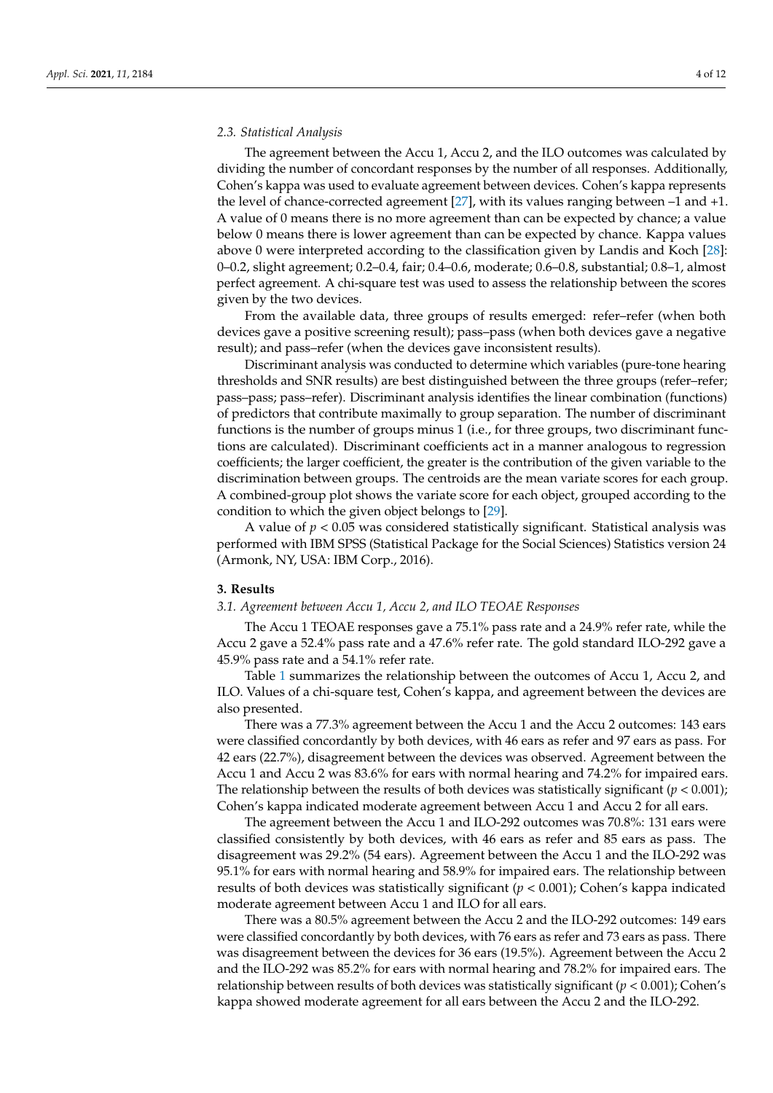### *2.3. Statistical Analysis*

The agreement between the Accu 1, Accu 2, and the ILO outcomes was calculated by dividing the number of concordant responses by the number of all responses. Additionally, Cohen's kappa was used to evaluate agreement between devices. Cohen's kappa represents the level of chance-corrected agreement [\[27\]](#page-11-6), with its values ranging between –1 and +1. A value of 0 means there is no more agreement than can be expected by chance; a value below 0 means there is lower agreement than can be expected by chance. Kappa values above 0 were interpreted according to the classification given by Landis and Koch [\[28\]](#page-11-7): 0–0.2, slight agreement; 0.2–0.4, fair; 0.4–0.6, moderate; 0.6–0.8, substantial; 0.8–1, almost perfect agreement. A chi-square test was used to assess the relationship between the scores given by the two devices.

From the available data, three groups of results emerged: refer–refer (when both devices gave a positive screening result); pass–pass (when both devices gave a negative result); and pass–refer (when the devices gave inconsistent results).

Discriminant analysis was conducted to determine which variables (pure-tone hearing thresholds and SNR results) are best distinguished between the three groups (refer–refer; pass–pass; pass–refer). Discriminant analysis identifies the linear combination (functions) of predictors that contribute maximally to group separation. The number of discriminant functions is the number of groups minus 1 (i.e., for three groups, two discriminant functions are calculated). Discriminant coefficients act in a manner analogous to regression coefficients; the larger coefficient, the greater is the contribution of the given variable to the discrimination between groups. The centroids are the mean variate scores for each group. A combined-group plot shows the variate score for each object, grouped according to the condition to which the given object belongs to [\[29\]](#page-11-8).

A value of *p* < 0.05 was considered statistically significant. Statistical analysis was performed with IBM SPSS (Statistical Package for the Social Sciences) Statistics version 24 (Armonk, NY, USA: IBM Corp., 2016).

## **3. Results**

#### *3.1. Agreement between Accu 1, Accu 2, and ILO TEOAE Responses*

The Accu 1 TEOAE responses gave a 75.1% pass rate and a 24.9% refer rate, while the Accu 2 gave a 52.4% pass rate and a 47.6% refer rate. The gold standard ILO-292 gave a 45.9% pass rate and a 54.1% refer rate.

Table [1](#page-4-0) summarizes the relationship between the outcomes of Accu 1, Accu 2, and ILO. Values of a chi-square test, Cohen's kappa, and agreement between the devices are also presented.

There was a 77.3% agreement between the Accu 1 and the Accu 2 outcomes: 143 ears were classified concordantly by both devices, with 46 ears as refer and 97 ears as pass. For 42 ears (22.7%), disagreement between the devices was observed. Agreement between the Accu 1 and Accu 2 was 83.6% for ears with normal hearing and 74.2% for impaired ears. The relationship between the results of both devices was statistically significant  $(p < 0.001)$ ; Cohen's kappa indicated moderate agreement between Accu 1 and Accu 2 for all ears.

The agreement between the Accu 1 and ILO-292 outcomes was 70.8%: 131 ears were classified consistently by both devices, with 46 ears as refer and 85 ears as pass. The disagreement was 29.2% (54 ears). Agreement between the Accu 1 and the ILO-292 was 95.1% for ears with normal hearing and 58.9% for impaired ears. The relationship between results of both devices was statistically significant (*p* < 0.001); Cohen's kappa indicated moderate agreement between Accu 1 and ILO for all ears.

There was a 80.5% agreement between the Accu 2 and the ILO-292 outcomes: 149 ears were classified concordantly by both devices, with 76 ears as refer and 73 ears as pass. There was disagreement between the devices for 36 ears (19.5%). Agreement between the Accu 2 and the ILO-292 was 85.2% for ears with normal hearing and 78.2% for impaired ears. The relationship between results of both devices was statistically significant ( $p < 0.001$ ); Cohen's kappa showed moderate agreement for all ears between the Accu 2 and the ILO-292.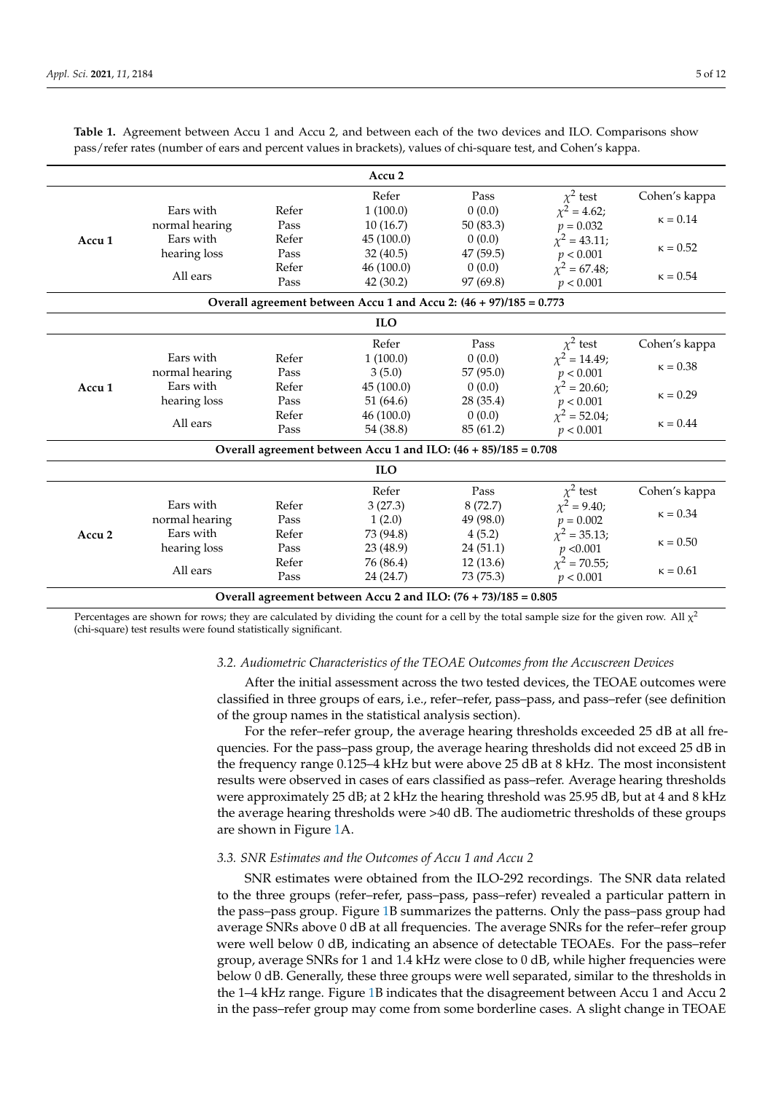|                                                                 |                |       | Accu <sub>2</sub>                                                  |           |                   |                 |
|-----------------------------------------------------------------|----------------|-------|--------------------------------------------------------------------|-----------|-------------------|-----------------|
|                                                                 |                |       | Refer                                                              | Pass      | $\chi^2$ test     | Cohen's kappa   |
|                                                                 | Ears with      | Refer | 1(100.0)                                                           | 0(0.0)    | $\chi^2$ = 4.62;  |                 |
|                                                                 | normal hearing | Pass  | 10(16.7)                                                           | 50 (83.3) | $p = 0.032$       | $\kappa = 0.14$ |
| Accu <sub>1</sub>                                               | Ears with      | Refer | 45 (100.0)                                                         | 0(0.0)    | $\chi^2$ = 43.11; | $\kappa = 0.52$ |
|                                                                 | hearing loss   | Pass  | 32(40.5)                                                           | 47(59.5)  | p < 0.001         |                 |
|                                                                 | All ears       | Refer | 46 (100.0)                                                         | 0(0.0)    | $\chi^2$ = 67.48; | $\kappa = 0.54$ |
|                                                                 |                | Pass  | 42 (30.2)                                                          | 97 (69.8) | p < 0.001         |                 |
|                                                                 |                |       | Overall agreement between Accu 1 and Accu 2: (46 + 97)/185 = 0.773 |           |                   |                 |
|                                                                 |                |       | <b>ILO</b>                                                         |           |                   |                 |
|                                                                 |                |       | Refer                                                              | Pass      | $\chi^2$ test     | Cohen's kappa   |
|                                                                 | Ears with      | Refer | 1(100.0)                                                           | 0(0.0)    | $\chi^2$ = 14.49; |                 |
|                                                                 | normal hearing | Pass  | 3(5.0)                                                             | 57 (95.0) | p < 0.001         | $\kappa = 0.38$ |
| Accu <sub>1</sub>                                               | Ears with      | Refer | 45 (100.0)                                                         | 0(0.0)    | $\chi^2$ = 20.60; | $\kappa = 0.29$ |
|                                                                 | hearing loss   | Pass  | 51 (64.6)                                                          | 28 (35.4) | p < 0.001         |                 |
|                                                                 | All ears       | Refer | 46 (100.0)                                                         | 0(0.0)    | $\chi^2 = 52.04;$ | $\kappa = 0.44$ |
|                                                                 |                | Pass  | 54 (38.8)                                                          | 85 (61.2) | p < 0.001         |                 |
|                                                                 |                |       | Overall agreement between Accu 1 and ILO: (46 + 85)/185 = 0.708    |           |                   |                 |
| <b>ILO</b>                                                      |                |       |                                                                    |           |                   |                 |
|                                                                 |                |       | Refer                                                              | Pass      | $\chi^2$ test     | Cohen's kappa   |
|                                                                 | Ears with      | Refer | 3(27.3)                                                            | 8(72.7)   | $\chi^2$ = 9.40;  | $\kappa = 0.34$ |
| Accu <sub>2</sub>                                               | normal hearing | Pass  | 1(2.0)                                                             | 49 (98.0) | $p = 0.002$       |                 |
|                                                                 | Ears with      | Refer | 73 (94.8)                                                          | 4(5.2)    | $\chi^2$ = 35.13; |                 |
|                                                                 | hearing loss   | Pass  | 23 (48.9)                                                          | 24(51.1)  | p < 0.001         | $\kappa = 0.50$ |
|                                                                 | All ears       | Refer | 76 (86.4)                                                          | 12(13.6)  | $\chi^2$ = 70.55; | $\kappa = 0.61$ |
|                                                                 |                | Pass  | 24 (24.7)                                                          | 73 (75.3) | p < 0.001         |                 |
| Overall agreement between Accu 2 and ILO: (76 + 73)/185 = 0.805 |                |       |                                                                    |           |                   |                 |

<span id="page-4-0"></span>**Table 1.** Agreement between Accu 1 and Accu 2, and between each of the two devices and ILO. Comparisons show pass/refer rates (number of ears and percent values in brackets), values of chi-square test, and Cohen's kappa.

Percentages are shown for rows; they are calculated by dividing the count for a cell by the total sample size for the given row. All  $\chi^2$ (chi-square) test results were found statistically significant.

# *3.2. Audiometric Characteristics of the TEOAE Outcomes from the Accuscreen Devices*

After the initial assessment across the two tested devices, the TEOAE outcomes were classified in three groups of ears, i.e., refer–refer, pass–pass, and pass–refer (see definition of the group names in the statistical analysis section).

For the refer–refer group, the average hearing thresholds exceeded 25 dB at all frequencies. For the pass–pass group, the average hearing thresholds did not exceed 25 dB in the frequency range 0.125–4 kHz but were above 25 dB at 8 kHz. The most inconsistent results were observed in cases of ears classified as pass–refer. Average hearing thresholds were approximately 25 dB; at 2 kHz the hearing threshold was 25.95 dB, but at 4 and 8 kHz the average hearing thresholds were >40 dB. The audiometric thresholds of these groups are shown in Figure [1A](#page-5-0).

# *3.3. SNR Estimates and the Outcomes of Accu 1 and Accu 2*

SNR estimates were obtained from the ILO-292 recordings. The SNR data related to the three groups (refer–refer, pass–pass, pass–refer) revealed a particular pattern in the pass–pass group. Figure [1B](#page-5-0) summarizes the patterns. Only the pass–pass group had average SNRs above 0 dB at all frequencies. The average SNRs for the refer–refer group were well below 0 dB, indicating an absence of detectable TEOAEs. For the pass–refer group, average SNRs for 1 and 1.4 kHz were close to 0 dB, while higher frequencies were below 0 dB. Generally, these three groups were well separated, similar to the thresholds in the 1–4 kHz range. Figure [1B](#page-5-0) indicates that the disagreement between Accu 1 and Accu 2 in the pass–refer group may come from some borderline cases. A slight change in TEOAE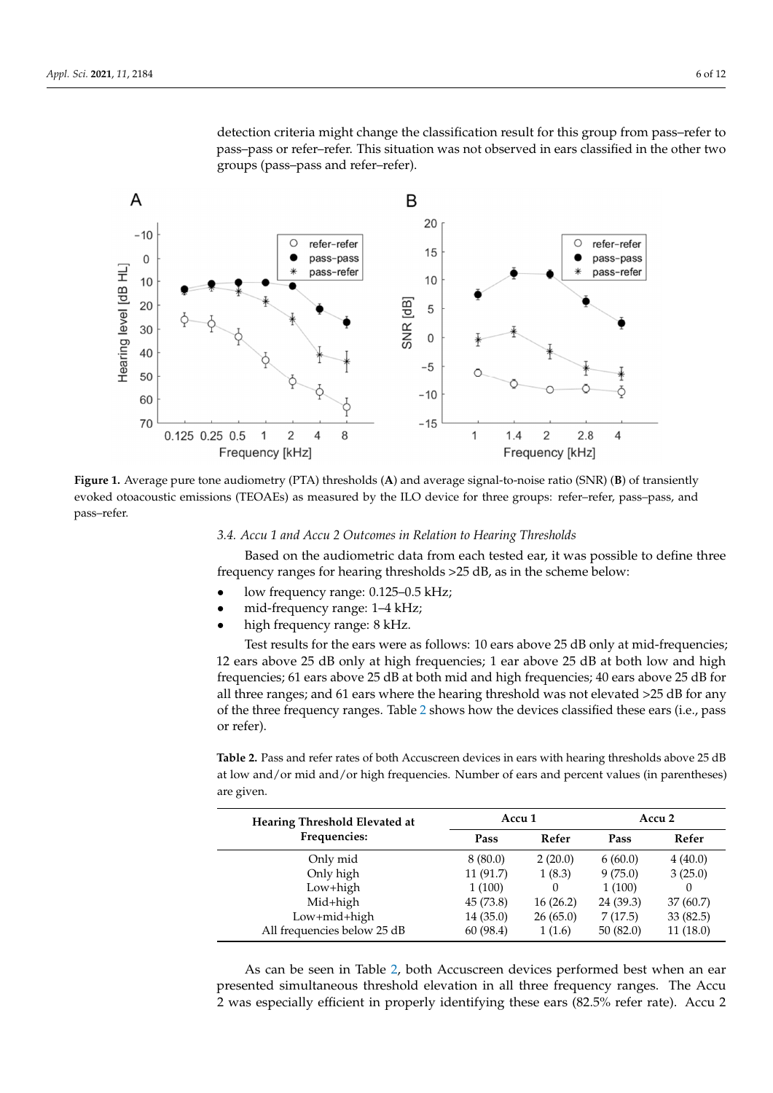detection criteria might change the classification result for this group from pass–refer to pass–pass or refer–refer. This situation was not observed in ears classified in the other two groups (pass–pass and refer–refer).

<span id="page-5-0"></span>

**Figure 1.** Average pure tone audiometry (PTA) thresholds (**A**) and average signal-to-noise ratio (SNR) (**B**) of transiently evoked otoacoustic emissions (TEOAEs) as measured by the ILO device for three groups: refer–refer, pass–pass, and pass–refer.

## *3.4. Accu 1 and Accu 2 Outcomes in Relation to Hearing Thresholds*

Based on the audiometric data from each tested ear, it was possible to define three frequency ranges for hearing thresholds >25 dB, as in the scheme below:

- low frequency range: 0.125–0.5 kHz;
- mid-frequency range: 1–4 kHz;
- high frequency range: 8 kHz.

Test results for the ears were as follows: 10 ears above 25 dB only at mid-frequencies; 12 ears above 25 dB only at high frequencies; 1 ear above 25 dB at both low and high frequencies; 61 ears above 25 dB at both mid and high frequencies; 40 ears above 25 dB for all three ranges; and 61 ears where the hearing threshold was not elevated >25 dB for any of the three frequency ranges. Table [2](#page-5-1) shows how the devices classified these ears (i.e., pass or refer).

<span id="page-5-1"></span>**Table 2.** Pass and refer rates of both Accuscreen devices in ears with hearing thresholds above 25 dB at low and/or mid and/or high frequencies. Number of ears and percent values (in parentheses) are given.

| Hearing Threshold Elevated at | Accu 1    |          | Accu <sub>2</sub> |          |
|-------------------------------|-----------|----------|-------------------|----------|
| Frequencies:                  | Pass      | Refer    | Pass              | Refer    |
| Only mid                      | 8(80.0)   | 2(20.0)  | 6(60.0)           | 4(40.0)  |
| Only high                     | 11(91.7)  | 1(8.3)   | 9(75.0)           | 3(25.0)  |
| Low+high                      | 1(100)    | $\Omega$ | 1(100)            | $\Omega$ |
| Mid+high                      | 45 (73.8) | 16(26.2) | 24 (39.3)         | 37(60.7) |
| Low+mid+high                  | 14(35.0)  | 26(65.0) | 7(17.5)           | 33(82.5) |
| All frequencies below 25 dB   | 60 (98.4) | 1(1.6)   | 50(82.0)          | 11(18.0) |

As can be seen in Table [2,](#page-5-1) both Accuscreen devices performed best when an ear presented simultaneous threshold elevation in all three frequency ranges. The Accu 2 was especially efficient in properly identifying these ears (82.5% refer rate). Accu 2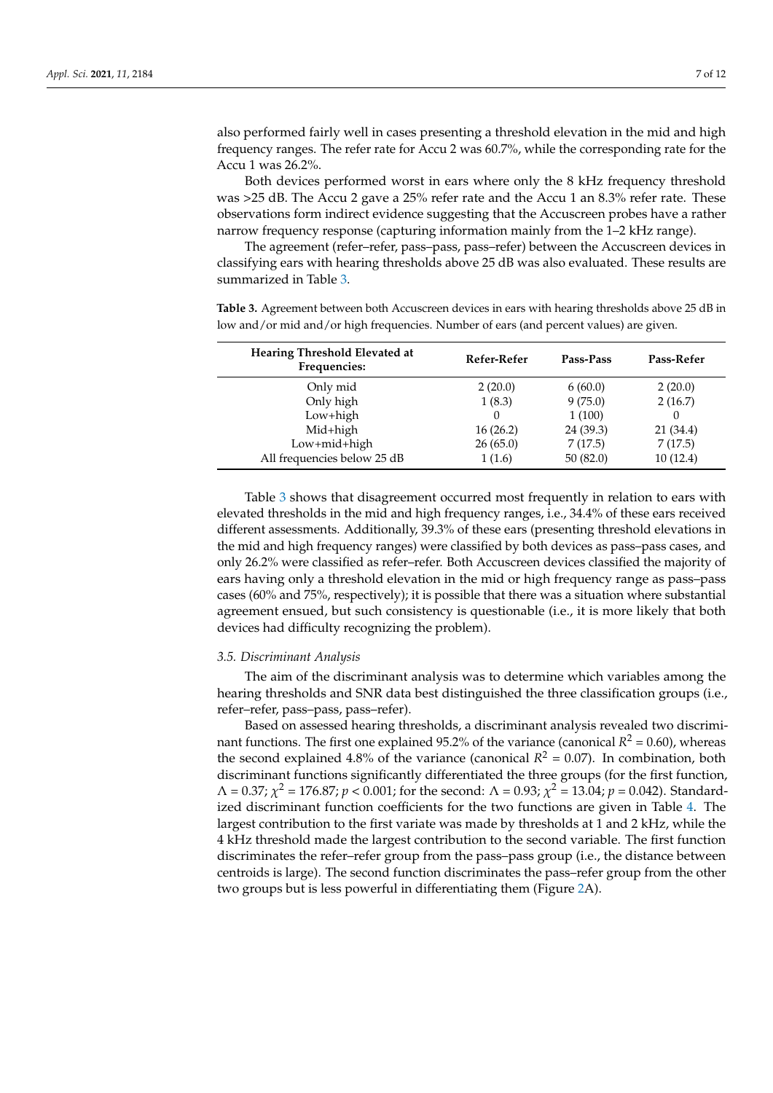also performed fairly well in cases presenting a threshold elevation in the mid and high frequency ranges. The refer rate for Accu 2 was 60.7%, while the corresponding rate for the Accu 1 was 26.2%.

Both devices performed worst in ears where only the 8 kHz frequency threshold was >25 dB. The Accu 2 gave a 25% refer rate and the Accu 1 an 8.3% refer rate. These observations form indirect evidence suggesting that the Accuscreen probes have a rather narrow frequency response (capturing information mainly from the 1–2 kHz range).

The agreement (refer–refer, pass–pass, pass–refer) between the Accuscreen devices in classifying ears with hearing thresholds above 25 dB was also evaluated. These results are summarized in Table [3.](#page-6-0)

<span id="page-6-0"></span>**Table 3.** Agreement between both Accuscreen devices in ears with hearing thresholds above 25 dB in low and/or mid and/or high frequencies. Number of ears (and percent values) are given.

| Hearing Threshold Elevated at<br>Frequencies: | Refer-Refer | Pass-Pass | Pass-Refer |
|-----------------------------------------------|-------------|-----------|------------|
| Only mid                                      | 2(20.0)     | 6(60.0)   | 2(20.0)    |
| Only high                                     | 1(8.3)      | 9(75.0)   | 2(16.7)    |
| Low+high                                      |             | 1(100)    | 0          |
| Mid+high                                      | 16(26.2)    | 24 (39.3) | 21 (34.4)  |
| Low+mid+high                                  | 26(65.0)    | 7(17.5)   | 7(17.5)    |
| All frequencies below 25 dB                   | 1(1.6)      | 50(82.0)  | 10(12.4)   |

Table [3](#page-6-0) shows that disagreement occurred most frequently in relation to ears with elevated thresholds in the mid and high frequency ranges, i.e., 34.4% of these ears received different assessments. Additionally, 39.3% of these ears (presenting threshold elevations in the mid and high frequency ranges) were classified by both devices as pass–pass cases, and only 26.2% were classified as refer–refer. Both Accuscreen devices classified the majority of ears having only a threshold elevation in the mid or high frequency range as pass–pass cases (60% and 75%, respectively); it is possible that there was a situation where substantial agreement ensued, but such consistency is questionable (i.e., it is more likely that both devices had difficulty recognizing the problem).

#### *3.5. Discriminant Analysis*

The aim of the discriminant analysis was to determine which variables among the hearing thresholds and SNR data best distinguished the three classification groups (i.e., refer–refer, pass–pass, pass–refer).

Based on assessed hearing thresholds, a discriminant analysis revealed two discriminant functions. The first one explained 95.2% of the variance (canonical  $R^2 = 0.60$ ), whereas the second explained 4.8% of the variance (canonical  $R^2 = 0.07$ ). In combination, both discriminant functions significantly differentiated the three groups (for the first function,  $Λ = 0.37; χ<sup>2</sup> = 176.87; p < 0.001;$  for the second:  $Λ = 0.93; χ<sup>2</sup> = 13.04; p = 0.042$ ). Standardized discriminant function coefficients for the two functions are given in Table [4.](#page-7-0) The largest contribution to the first variate was made by thresholds at 1 and 2 kHz, while the 4 kHz threshold made the largest contribution to the second variable. The first function discriminates the refer–refer group from the pass–pass group (i.e., the distance between centroids is large). The second function discriminates the pass–refer group from the other two groups but is less powerful in differentiating them (Figure [2A](#page-7-1)).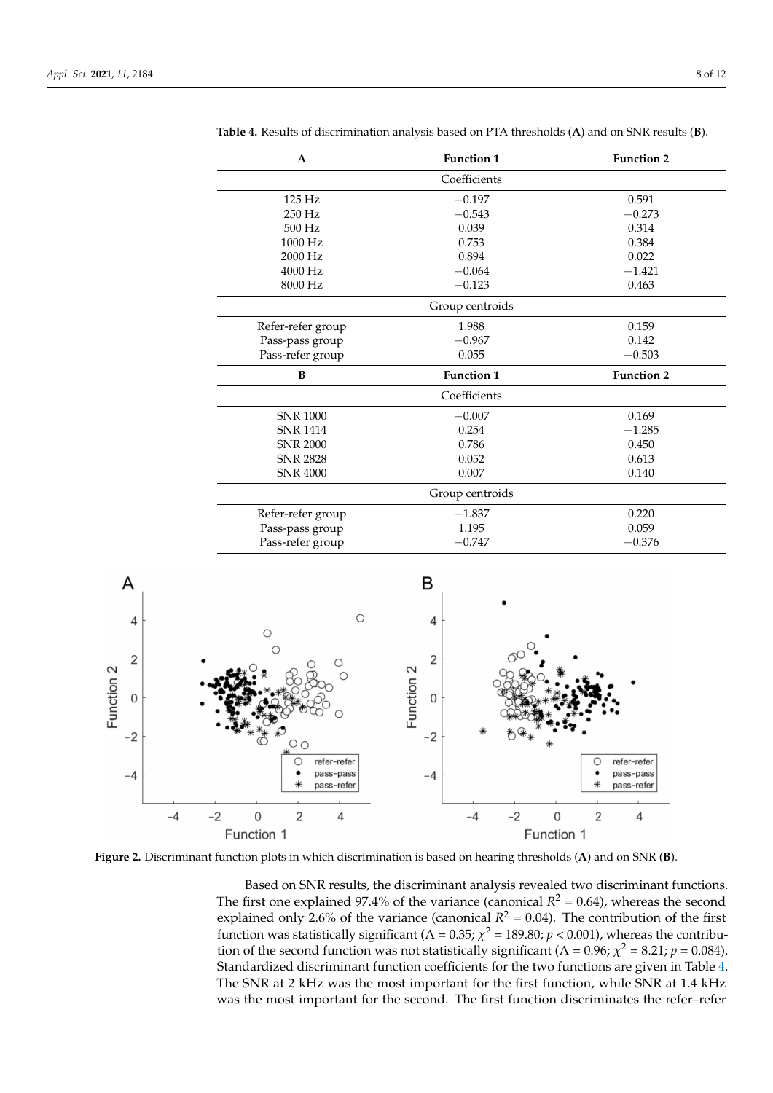| $\mathbf{A}$      | <b>Function 1</b> | <b>Function 2</b> |
|-------------------|-------------------|-------------------|
|                   | Coefficients      |                   |
| $125$ Hz          | $-0.197$          | 0.591             |
| 250 Hz            | $-0.543$          | $-0.273$          |
| 500 Hz            | 0.039             | 0.314             |
| 1000 Hz           | 0.753             | 0.384             |
| 2000 Hz           | 0.894             | 0.022             |
| 4000 Hz           | $-0.064$          | $-1.421$          |
| 8000 Hz           | $-0.123$          | 0.463             |
|                   | Group centroids   |                   |
| Refer-refer group | 1.988             | 0.159             |
| Pass-pass group   | $-0.967$          | 0.142             |
| Pass-refer group  | 0.055             | $-0.503$          |
| B                 | <b>Function 1</b> | <b>Function 2</b> |
|                   | Coefficients      |                   |
| <b>SNR 1000</b>   | $-0.007$          | 0.169             |
| <b>SNR 1414</b>   | 0.254             | $-1.285$          |
| <b>SNR 2000</b>   | 0.786             | 0.450             |
| <b>SNR 2828</b>   | 0.052             | 0.613             |
| <b>SNR 4000</b>   | 0.007             | 0.140             |
|                   | Group centroids   |                   |
| Refer-refer group | $-1.837$          | 0.220             |
| Pass-pass group   | 1.195             | 0.059             |
| Pass-refer group  | $-0.747$          | $-0.376$          |

<span id="page-7-0"></span>**Table 4.** Results of discrimination analysis based on PTA thresholds (**A**) and on SNR results (**B**).

<span id="page-7-1"></span>

**Figure 2.** Discriminant function plots in which discrimination is based on hearing thresholds (**A**) and on SNR (**B**).

Based on SNR results, the discriminant analysis revealed two discriminant functions. The first one explained 97.4% of the variance (canonical  $R^2 = 0.64$ ), whereas the second explained only 2.6% of the variance (canonical  $R^2 = 0.04$ ). The contribution of the first function was statistically significant ( $\Lambda$  = 0.35;  $\chi^2$  = 189.80;  $p$  < 0.001), whereas the contribution of the second function was not statistically significant ( $\Lambda$  = 0.96;  $\chi^2$  = 8.21;  $p$  = 0.084). Standardized discriminant function coefficients for the two functions are given in Table [4.](#page-7-0) The SNR at 2 kHz was the most important for the first function, while SNR at 1.4 kHz was the most important for the second. The first function discriminates the refer–refer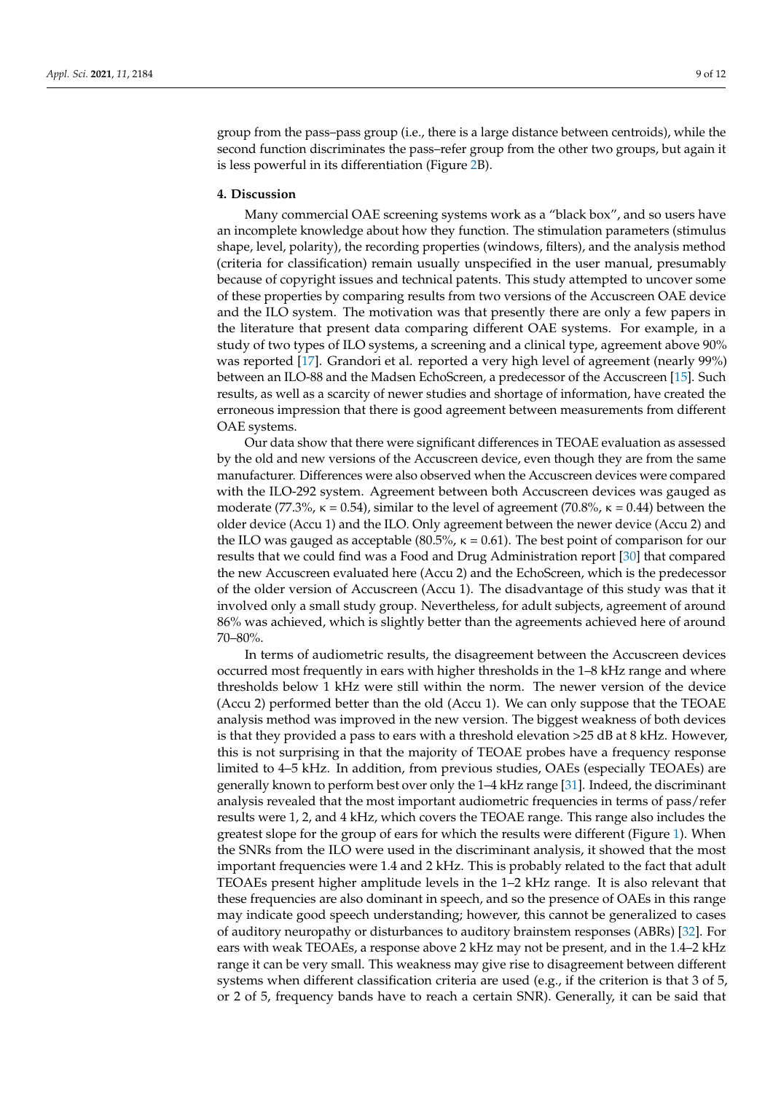group from the pass–pass group (i.e., there is a large distance between centroids), while the second function discriminates the pass–refer group from the other two groups, but again it is less powerful in its differentiation (Figure [2B](#page-7-1)).

## **4. Discussion**

Many commercial OAE screening systems work as a "black box", and so users have an incomplete knowledge about how they function. The stimulation parameters (stimulus shape, level, polarity), the recording properties (windows, filters), and the analysis method (criteria for classification) remain usually unspecified in the user manual, presumably because of copyright issues and technical patents. This study attempted to uncover some of these properties by comparing results from two versions of the Accuscreen OAE device and the ILO system. The motivation was that presently there are only a few papers in the literature that present data comparing different OAE systems. For example, in a study of two types of ILO systems, a screening and a clinical type, agreement above 90% was reported [\[17\]](#page-11-9). Grandori et al. reported a very high level of agreement (nearly 99%) between an ILO-88 and the Madsen EchoScreen, a predecessor of the Accuscreen [\[15\]](#page-10-13). Such results, as well as a scarcity of newer studies and shortage of information, have created the erroneous impression that there is good agreement between measurements from different OAE systems.

Our data show that there were significant differences in TEOAE evaluation as assessed by the old and new versions of the Accuscreen device, even though they are from the same manufacturer. Differences were also observed when the Accuscreen devices were compared with the ILO-292 system. Agreement between both Accuscreen devices was gauged as moderate (77.3%,  $\kappa = 0.54$ ), similar to the level of agreement (70.8%,  $\kappa = 0.44$ ) between the older device (Accu 1) and the ILO. Only agreement between the newer device (Accu 2) and the ILO was gauged as acceptable (80.5%,  $\kappa = 0.61$ ). The best point of comparison for our results that we could find was a Food and Drug Administration report [\[30\]](#page-11-10) that compared the new Accuscreen evaluated here (Accu 2) and the EchoScreen, which is the predecessor of the older version of Accuscreen (Accu 1). The disadvantage of this study was that it involved only a small study group. Nevertheless, for adult subjects, agreement of around 86% was achieved, which is slightly better than the agreements achieved here of around 70–80%.

In terms of audiometric results, the disagreement between the Accuscreen devices occurred most frequently in ears with higher thresholds in the 1–8 kHz range and where thresholds below 1 kHz were still within the norm. The newer version of the device (Accu 2) performed better than the old (Accu 1). We can only suppose that the TEOAE analysis method was improved in the new version. The biggest weakness of both devices is that they provided a pass to ears with a threshold elevation >25 dB at 8 kHz. However, this is not surprising in that the majority of TEOAE probes have a frequency response limited to 4–5 kHz. In addition, from previous studies, OAEs (especially TEOAEs) are generally known to perform best over only the 1–4 kHz range [\[31\]](#page-11-11). Indeed, the discriminant analysis revealed that the most important audiometric frequencies in terms of pass/refer results were 1, 2, and 4 kHz, which covers the TEOAE range. This range also includes the greatest slope for the group of ears for which the results were different (Figure [1\)](#page-5-0). When the SNRs from the ILO were used in the discriminant analysis, it showed that the most important frequencies were 1.4 and 2 kHz. This is probably related to the fact that adult TEOAEs present higher amplitude levels in the 1–2 kHz range. It is also relevant that these frequencies are also dominant in speech, and so the presence of OAEs in this range may indicate good speech understanding; however, this cannot be generalized to cases of auditory neuropathy or disturbances to auditory brainstem responses (ABRs) [\[32\]](#page-11-12). For ears with weak TEOAEs, a response above 2 kHz may not be present, and in the 1.4–2 kHz range it can be very small. This weakness may give rise to disagreement between different systems when different classification criteria are used (e.g., if the criterion is that 3 of 5, or 2 of 5, frequency bands have to reach a certain SNR). Generally, it can be said that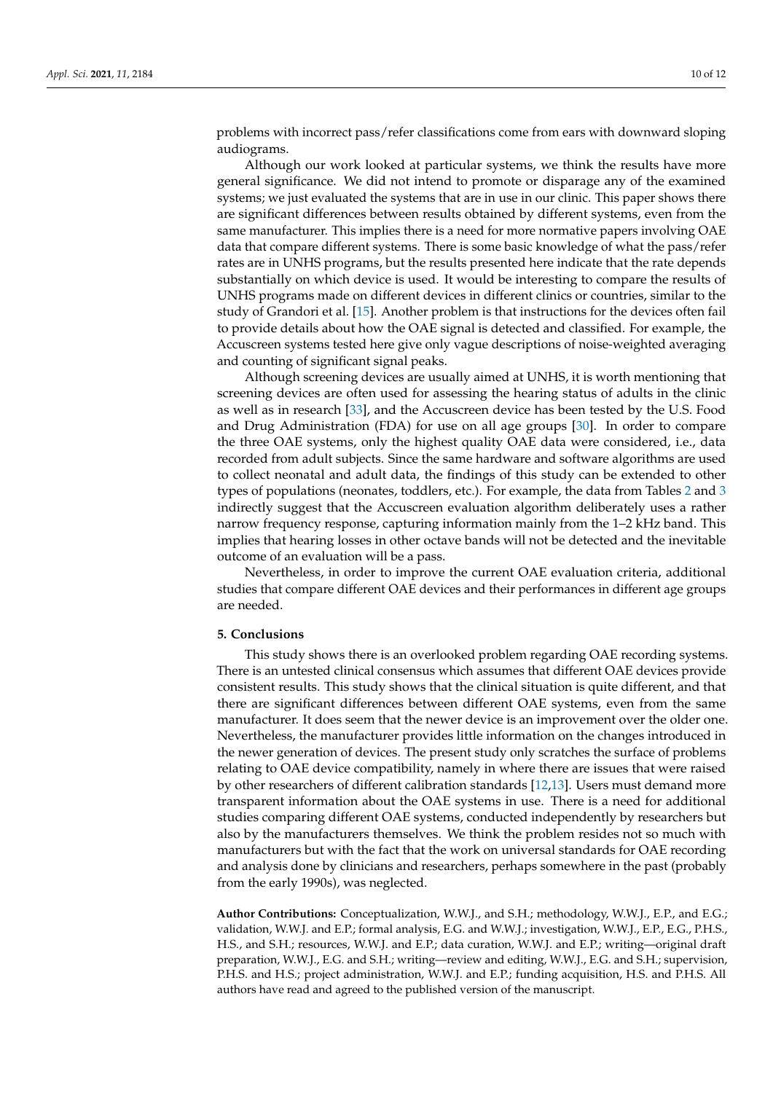problems with incorrect pass/refer classifications come from ears with downward sloping audiograms.

Although our work looked at particular systems, we think the results have more general significance. We did not intend to promote or disparage any of the examined systems; we just evaluated the systems that are in use in our clinic. This paper shows there are significant differences between results obtained by different systems, even from the same manufacturer. This implies there is a need for more normative papers involving OAE data that compare different systems. There is some basic knowledge of what the pass/refer rates are in UNHS programs, but the results presented here indicate that the rate depends substantially on which device is used. It would be interesting to compare the results of UNHS programs made on different devices in different clinics or countries, similar to the study of Grandori et al. [\[15\]](#page-10-13). Another problem is that instructions for the devices often fail to provide details about how the OAE signal is detected and classified. For example, the Accuscreen systems tested here give only vague descriptions of noise-weighted averaging and counting of significant signal peaks.

Although screening devices are usually aimed at UNHS, it is worth mentioning that screening devices are often used for assessing the hearing status of adults in the clinic as well as in research [\[33\]](#page-11-13), and the Accuscreen device has been tested by the U.S. Food and Drug Administration (FDA) for use on all age groups [\[30\]](#page-11-10). In order to compare the three OAE systems, only the highest quality OAE data were considered, i.e., data recorded from adult subjects. Since the same hardware and software algorithms are used to collect neonatal and adult data, the findings of this study can be extended to other types of populations (neonates, toddlers, etc.). For example, the data from Tables [2](#page-5-1) and [3](#page-6-0) indirectly suggest that the Accuscreen evaluation algorithm deliberately uses a rather narrow frequency response, capturing information mainly from the 1–2 kHz band. This implies that hearing losses in other octave bands will not be detected and the inevitable outcome of an evaluation will be a pass.

Nevertheless, in order to improve the current OAE evaluation criteria, additional studies that compare different OAE devices and their performances in different age groups are needed.

## **5. Conclusions**

This study shows there is an overlooked problem regarding OAE recording systems. There is an untested clinical consensus which assumes that different OAE devices provide consistent results. This study shows that the clinical situation is quite different, and that there are significant differences between different OAE systems, even from the same manufacturer. It does seem that the newer device is an improvement over the older one. Nevertheless, the manufacturer provides little information on the changes introduced in the newer generation of devices. The present study only scratches the surface of problems relating to OAE device compatibility, namely in where there are issues that were raised by other researchers of different calibration standards [\[12,](#page-10-10)[13\]](#page-10-11). Users must demand more transparent information about the OAE systems in use. There is a need for additional studies comparing different OAE systems, conducted independently by researchers but also by the manufacturers themselves. We think the problem resides not so much with manufacturers but with the fact that the work on universal standards for OAE recording and analysis done by clinicians and researchers, perhaps somewhere in the past (probably from the early 1990s), was neglected.

**Author Contributions:** Conceptualization, W.W.J., and S.H.; methodology, W.W.J., E.P., and E.G.; validation, W.W.J. and E.P.; formal analysis, E.G. and W.W.J.; investigation, W.W.J., E.P., E.G., P.H.S., H.S., and S.H.; resources, W.W.J. and E.P.; data curation, W.W.J. and E.P.; writing—original draft preparation, W.W.J., E.G. and S.H.; writing—review and editing, W.W.J., E.G. and S.H.; supervision, P.H.S. and H.S.; project administration, W.W.J. and E.P.; funding acquisition, H.S. and P.H.S. All authors have read and agreed to the published version of the manuscript.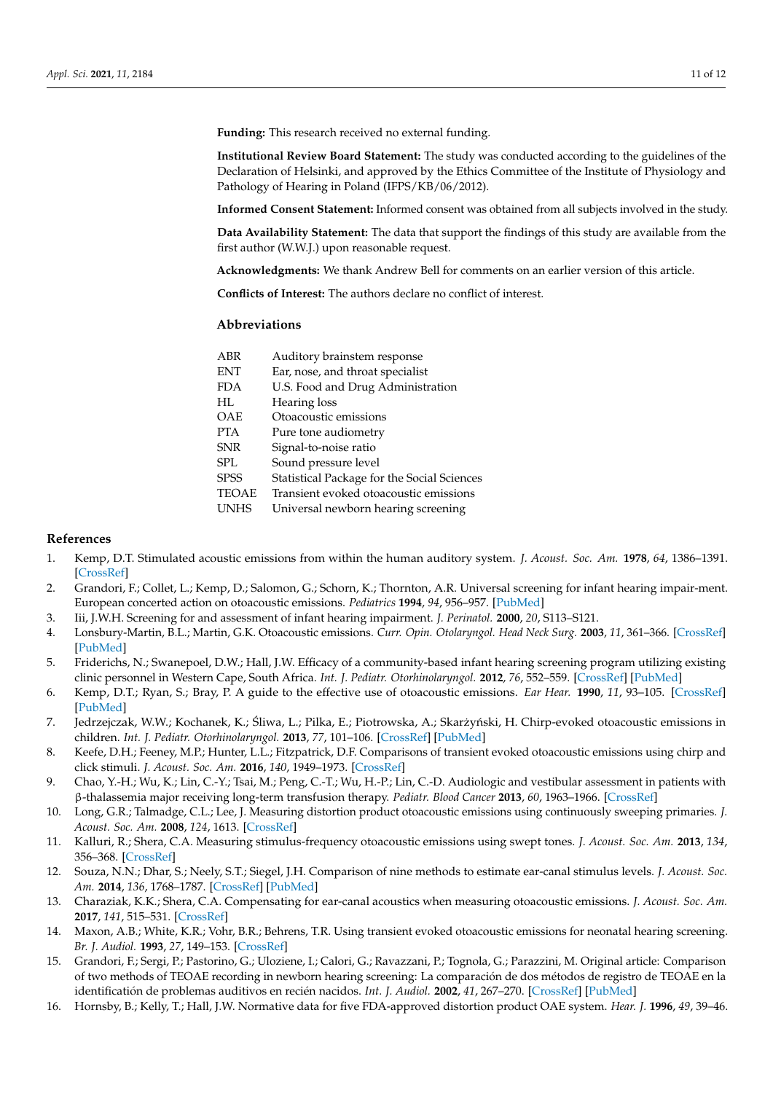**Funding:** This research received no external funding.

**Institutional Review Board Statement:** The study was conducted according to the guidelines of the Declaration of Helsinki, and approved by the Ethics Committee of the Institute of Physiology and Pathology of Hearing in Poland (IFPS/KB/06/2012).

**Informed Consent Statement:** Informed consent was obtained from all subjects involved in the study.

**Data Availability Statement:** The data that support the findings of this study are available from the first author (W.W.J.) upon reasonable request.

**Acknowledgments:** We thank Andrew Bell for comments on an earlier version of this article.

**Conflicts of Interest:** The authors declare no conflict of interest.

## **Abbreviations**

| ABR          | Auditory brainstem response                 |
|--------------|---------------------------------------------|
| <b>ENT</b>   | Ear, nose, and throat specialist            |
| <b>FDA</b>   | U.S. Food and Drug Administration           |
| HI.          | Hearing loss                                |
| OAE          | Otoacoustic emissions                       |
| <b>PTA</b>   | Pure tone audiometry                        |
| SNR          | Signal-to-noise ratio                       |
| SPL          | Sound pressure level                        |
| SPSS         | Statistical Package for the Social Sciences |
| <b>TEOAE</b> | Transient evoked otoacoustic emissions      |
| <b>UNHS</b>  | Universal newborn hearing screening         |
|              |                                             |

## **References**

- <span id="page-10-0"></span>1. Kemp, D.T. Stimulated acoustic emissions from within the human auditory system. *J. Acoust. Soc. Am.* **1978**, *64*, 1386–1391. [\[CrossRef\]](http://doi.org/10.1121/1.382104)
- <span id="page-10-1"></span>2. Grandori, F.; Collet, L.; Kemp, D.; Salomon, G.; Schorn, K.; Thornton, A.R. Universal screening for infant hearing impair-ment. European concerted action on otoacoustic emissions. *Pediatrics* **1994**, *94*, 956–957. [\[PubMed\]](http://www.ncbi.nlm.nih.gov/pubmed/7848469)
- <span id="page-10-2"></span>3. Iii, J.W.H. Screening for and assessment of infant hearing impairment. *J. Perinatol.* **2000**, *20*, S113–S121.
- <span id="page-10-3"></span>4. Lonsbury-Martin, B.L.; Martin, G.K. Otoacoustic emissions. *Curr. Opin. Otolaryngol. Head Neck Surg.* **2003**, *11*, 361–366. [\[CrossRef\]](http://doi.org/10.1097/00020840-200310000-00009) [\[PubMed\]](http://www.ncbi.nlm.nih.gov/pubmed/14502067)
- <span id="page-10-4"></span>5. Friderichs, N.; Swanepoel, D.W.; Hall, J.W. Efficacy of a community-based infant hearing screening program utilizing existing clinic personnel in Western Cape, South Africa. *Int. J. Pediatr. Otorhinolaryngol.* **2012**, *76*, 552–559. [\[CrossRef\]](http://doi.org/10.1016/j.ijporl.2012.01.015) [\[PubMed\]](http://www.ncbi.nlm.nih.gov/pubmed/22326208)
- <span id="page-10-5"></span>6. Kemp, D.T.; Ryan, S.; Bray, P. A guide to the effective use of otoacoustic emissions. *Ear Hear.* **1990**, *11*, 93–105. [\[CrossRef\]](http://doi.org/10.1097/00003446-199004000-00004) [\[PubMed\]](http://www.ncbi.nlm.nih.gov/pubmed/2340969)
- 7. Jedrzejczak, W.W.; Kochanek, K.; Śliwa, L.; Pilka, E.; Piotrowska, A.; Skarżyński, H. Chirp-evoked otoacoustic emissions in children. *Int. J. Pediatr. Otorhinolaryngol.* **2013**, *77*, 101–106. [\[CrossRef\]](http://doi.org/10.1016/j.ijporl.2012.10.005) [\[PubMed\]](http://www.ncbi.nlm.nih.gov/pubmed/23116905)
- <span id="page-10-6"></span>8. Keefe, D.H.; Feeney, M.P.; Hunter, L.L.; Fitzpatrick, D.F. Comparisons of transient evoked otoacoustic emissions using chirp and click stimuli. *J. Acoust. Soc. Am.* **2016**, *140*, 1949–1973. [\[CrossRef\]](http://doi.org/10.1121/1.4962532)
- <span id="page-10-7"></span>9. Chao, Y.-H.; Wu, K.; Lin, C.-Y.; Tsai, M.; Peng, C.-T.; Wu, H.-P.; Lin, C.-D. Audiologic and vestibular assessment in patients with β-thalassemia major receiving long-term transfusion therapy. *Pediatr. Blood Cancer* **2013**, *60*, 1963–1966. [\[CrossRef\]](http://doi.org/10.1002/pbc.24699)
- <span id="page-10-8"></span>10. Long, G.R.; Talmadge, C.L.; Lee, J. Measuring distortion product otoacoustic emissions using continuously sweeping primaries. *J. Acoust. Soc. Am.* **2008**, *124*, 1613. [\[CrossRef\]](http://doi.org/10.1121/1.2949505)
- <span id="page-10-9"></span>11. Kalluri, R.; Shera, C.A. Measuring stimulus-frequency otoacoustic emissions using swept tones. *J. Acoust. Soc. Am.* **2013**, *134*, 356–368. [\[CrossRef\]](http://doi.org/10.1121/1.4807505)
- <span id="page-10-10"></span>12. Souza, N.N.; Dhar, S.; Neely, S.T.; Siegel, J.H. Comparison of nine methods to estimate ear-canal stimulus levels. *J. Acoust. Soc. Am.* **2014**, *136*, 1768–1787. [\[CrossRef\]](http://doi.org/10.1121/1.4894787) [\[PubMed\]](http://www.ncbi.nlm.nih.gov/pubmed/25324079)
- <span id="page-10-11"></span>13. Charaziak, K.K.; Shera, C.A. Compensating for ear-canal acoustics when measuring otoacoustic emissions. *J. Acoust. Soc. Am.* **2017**, *141*, 515–531. [\[CrossRef\]](http://doi.org/10.1121/1.4973618)
- <span id="page-10-12"></span>14. Maxon, A.B.; White, K.R.; Vohr, B.R.; Behrens, T.R. Using transient evoked otoacoustic emissions for neonatal hearing screening. *Br. J. Audiol.* **1993**, *27*, 149–153. [\[CrossRef\]](http://doi.org/10.3109/03005369309077906)
- <span id="page-10-13"></span>15. Grandori, F.; Sergi, P.; Pastorino, G.; Uloziene, I.; Calori, G.; Ravazzani, P.; Tognola, G.; Parazzini, M. Original article: Comparison of two methods of TEOAE recording in newborn hearing screening: La comparación de dos métodos de registro de TEOAE en la identificatión de problemas auditivos en recién nacidos. *Int. J. Audiol.* **2002**, *41*, 267–270. [\[CrossRef\]](http://doi.org/10.3109/14992020209077185) [\[PubMed\]](http://www.ncbi.nlm.nih.gov/pubmed/12166685)
- 16. Hornsby, B.; Kelly, T.; Hall, J.W. Normative data for five FDA-approved distortion product OAE system. *Hear. J.* **1996**, *49*, 39–46.